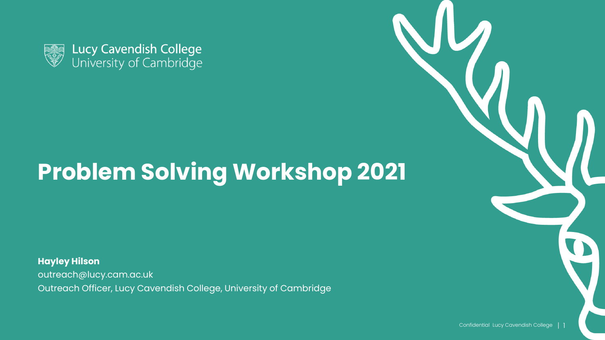

# **Problem Solving Workshop 2021**

**Hayley Hilson** outreach@lucy.cam.ac.uk Outreach Officer, Lucy Cavendish College, University of Cambridge

Confidential Lucy Cavendish College | 1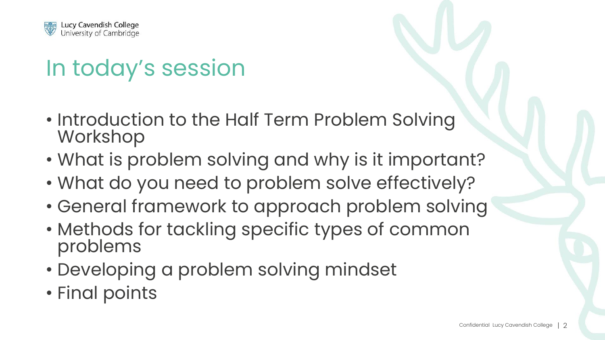

## In today's session

- Introduction to the Half Term Problem Solving Workshop
- What is problem solving and why is it important?
- What do you need to problem solve effectively?
- General framework to approach problem solving
- Methods for tackling specific types of common problems
- Developing a problem solving mindset
- Final points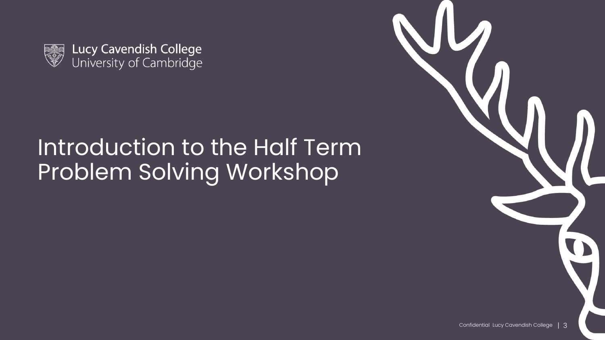



## Introduction to the Half Term Problem Solving Workshop

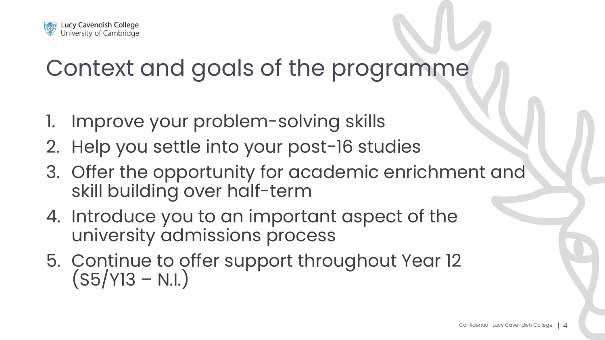

#### Context and goals of the programme

- 1. Improve your problem-solving skills
- 2. Help you settle into your post-16 studies
- 3. Offer the opportunity for academic enrichment and skill building over half-term
- 4. Introduce you to an important aspect of the university admissions process
- 5. Continue to offer support throughout Year 12  $(S5/Y13 - N.I.)$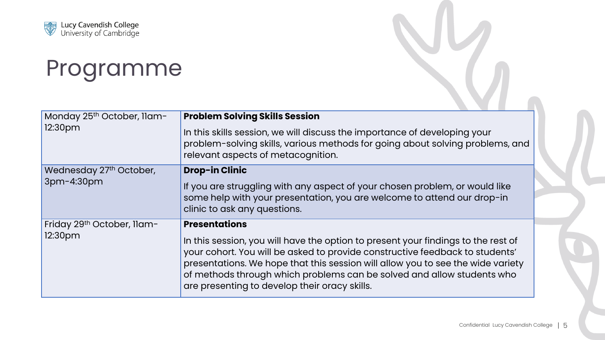

#### Programme

| Monday 25th October, Ilam-<br>12:30pm             | <b>Problem Solving Skills Session</b><br>In this skills session, we will discuss the importance of developing your<br>problem-solving skills, various methods for going about solving problems, and<br>relevant aspects of metacognition.                                                                                                                                                               |
|---------------------------------------------------|---------------------------------------------------------------------------------------------------------------------------------------------------------------------------------------------------------------------------------------------------------------------------------------------------------------------------------------------------------------------------------------------------------|
| Wednesday 27 <sup>th</sup> October,<br>3pm-4:30pm | <b>Drop-in Clinic</b><br>If you are struggling with any aspect of your chosen problem, or would like<br>some help with your presentation, you are welcome to attend our drop-in<br>clinic to ask any questions.                                                                                                                                                                                         |
| Friday 29th October, Ilam-<br>12:30pm             | <b>Presentations</b><br>In this session, you will have the option to present your findings to the rest of<br>your cohort. You will be asked to provide constructive feedback to students'<br>presentations. We hope that this session will allow you to see the wide variety<br>of methods through which problems can be solved and allow students who<br>are presenting to develop their oracy skills. |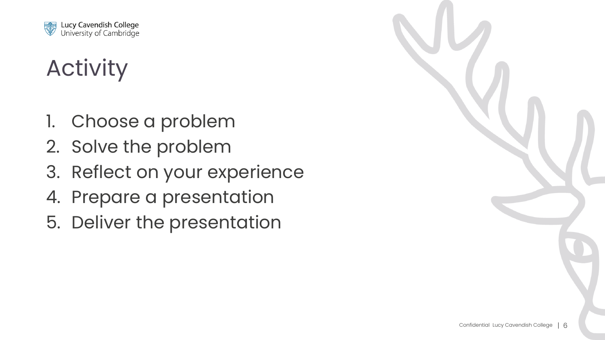

# Activity

- 1. Choose a problem
- 2. Solve the problem
- 3. Reflect on your experience
- 4. Prepare a presentation
- 5. Deliver the presentation

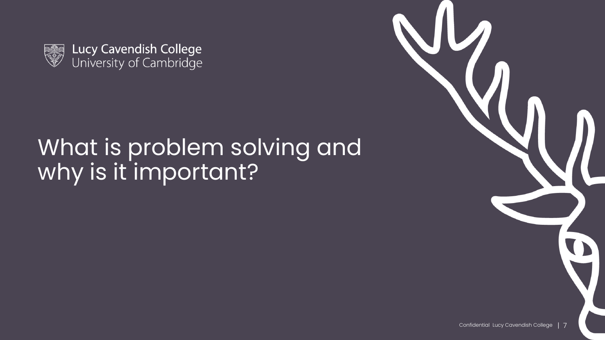

Lucy Cavendish College<br>University of Cambridge

## What is problem solving and why is it important?

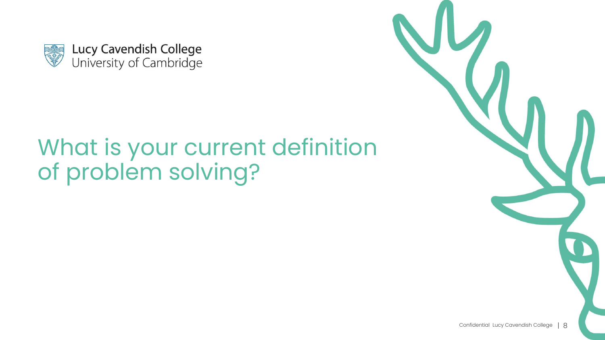

# What is your current definition<br>of problem solving?

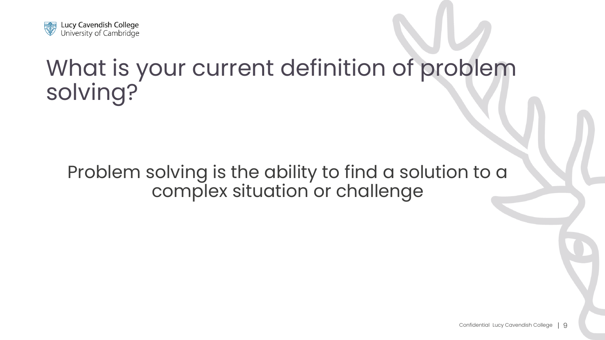

## What is your current definition of problem solving?

Problem solving is the ability to find a solution to a complex situation or challenge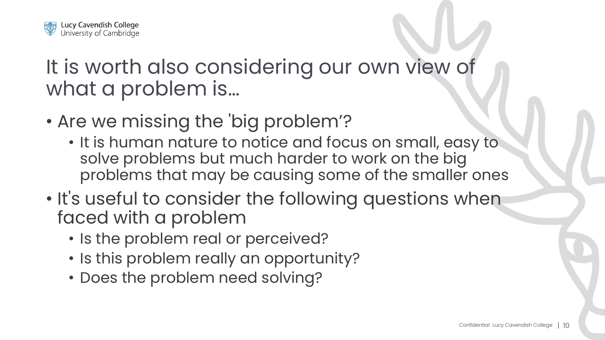

#### It is worth also considering our own view of what a problem is…

- Are we missing the 'big problem'?
	- It is human nature to notice and focus on small, easy to solve problems but much harder to work on the big problems that may be causing some of the smaller ones
- It's useful to consider the following questions when faced with a problem
	- Is the problem real or perceived?
	- Is this problem really an opportunity?
	- Does the problem need solving?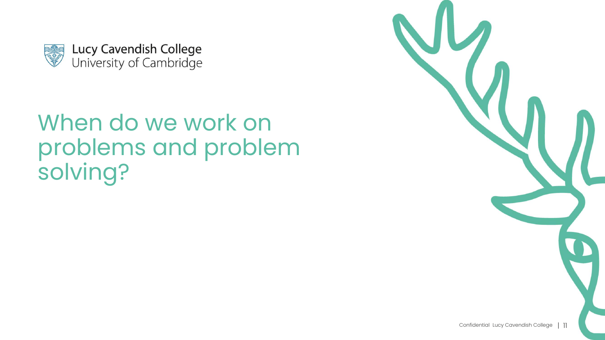

# problems and problem solving?

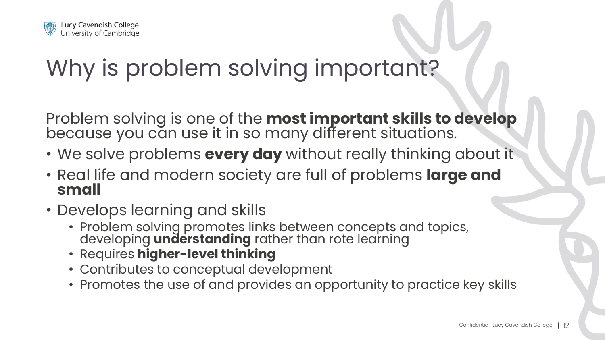

# Why is problem solving important?

Problem solving is one of the **most important skills to develop**  because you can use it in so many different situations.

- We solve problems **every day** without really thinking about it
- Real life and modern society are full of problems **large and small**
- Develops learning and skills
	- Problem solving promotes links between concepts and topics, developing **understanding** rather than rote learning
	- Requires **higher-level thinking**
	- Contributes to conceptual development
	- Promotes the use of and provides an opportunity to practice key skills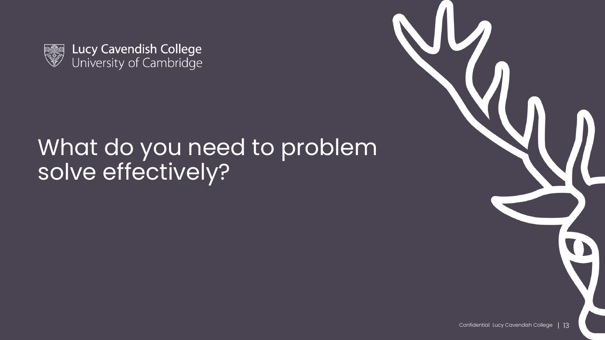

Lucy Cavendish College<br>University of Cambridge

#### What do you need to problem solve effectively?

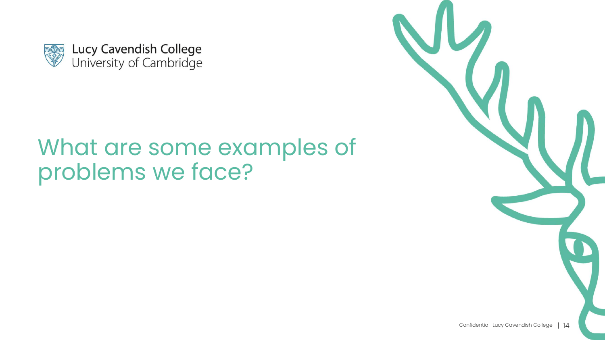

# problems we face?

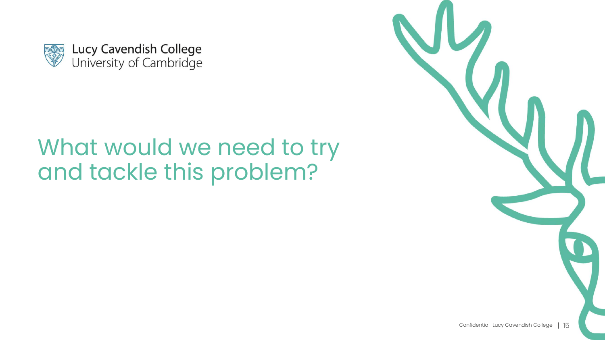

# and tackle this problem?

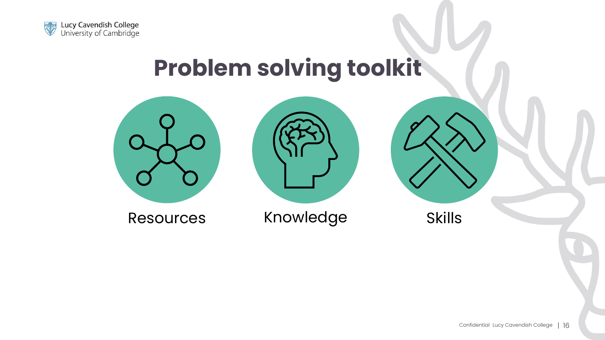

## **Problem solving toolkit**





Resources Knowledge Skills

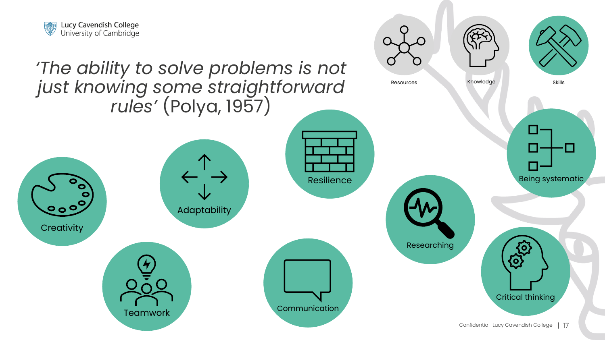

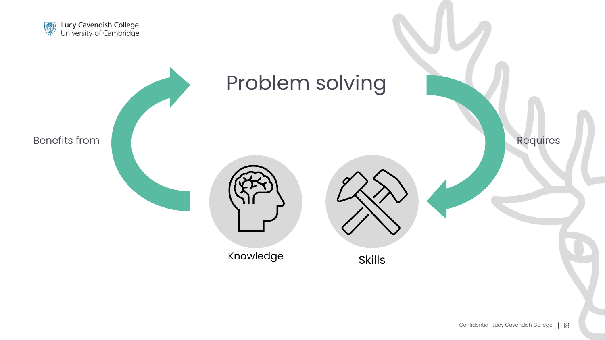

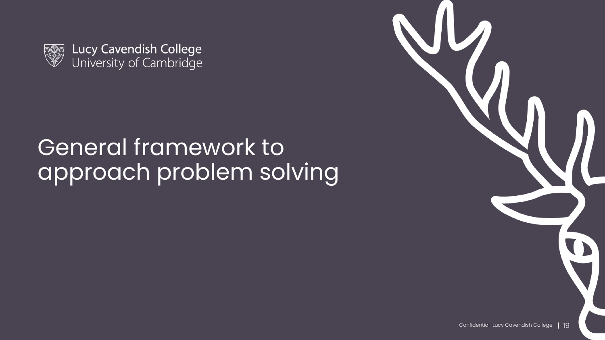

Lucy Cavendish College<br>University of Cambridge

# General framework to approach problem solving

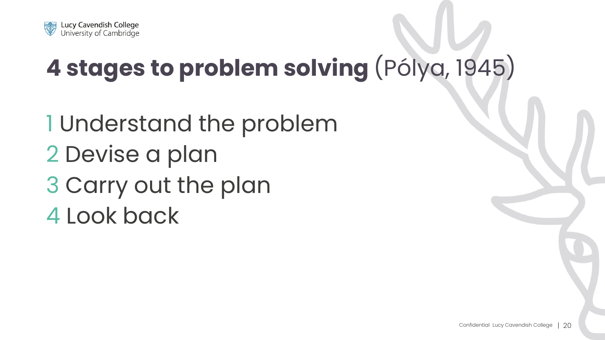

# **4 stages to problem solving** (Pólya, 1945)

1 Understand the problem 2 Devise a plan 3 Carry out the plan 4 Look back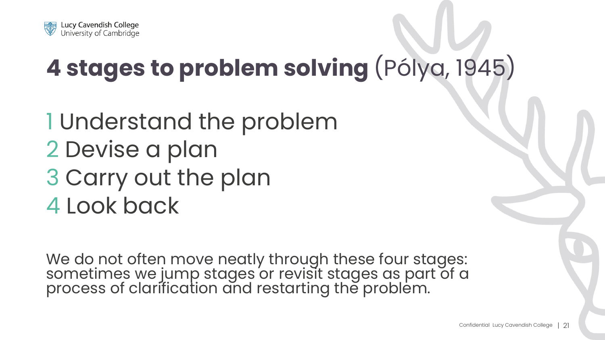

# **4 stages to problem solving** (Pólya, 1945)

# 1 Understand the problem 2 Devise a plan 3 Carry out the plan 4 Look back

We do not often move neatly through these four stages: sometimes we jump stages or revisit stages as part of a process of clarification and restarting the problem.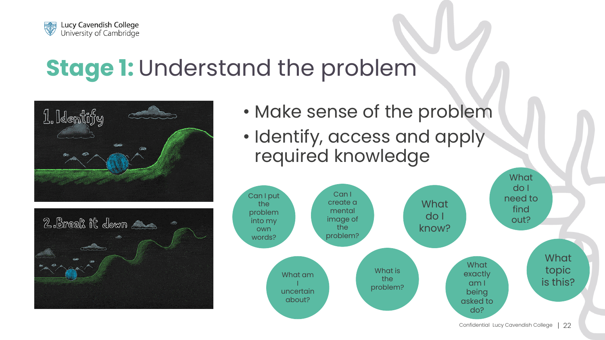

#### **Stage 1: Understand the problem**





- Make sense of the problem
- Identify, access and apply required knowledge

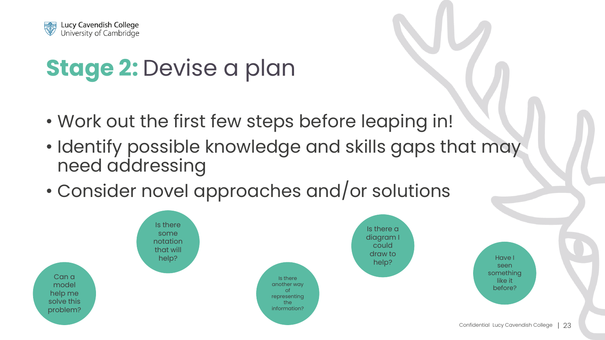

# **Stage 2: Devise a plan**

- Work out the first few steps before leaping in!
- Identify possible knowledge and skills gaps that may need addressing
- Consider novel approaches and/or solutions

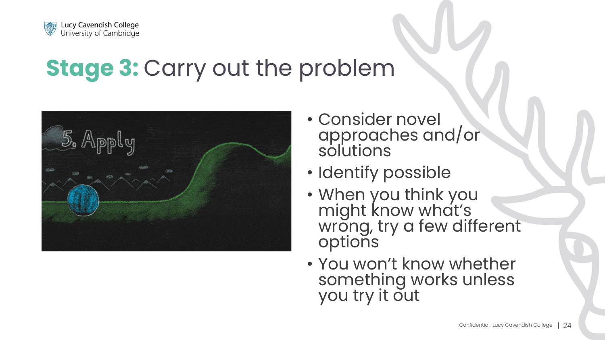

#### **Stage 3: Carry out the problem**



- Consider novel approaches and/or solutions
- Identify possible
- When you think you might know what's wrong, try a few different options
- You won't know whether something works unless you try it out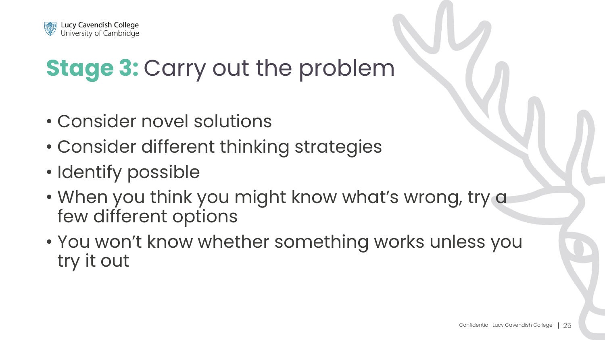

## **Stage 3: Carry out the problem**

- Consider novel solutions
- Consider different thinking strategies
- Identify possible
- When you think you might know what's wrong, try a few different options
- You won't know whether something works unless you try it out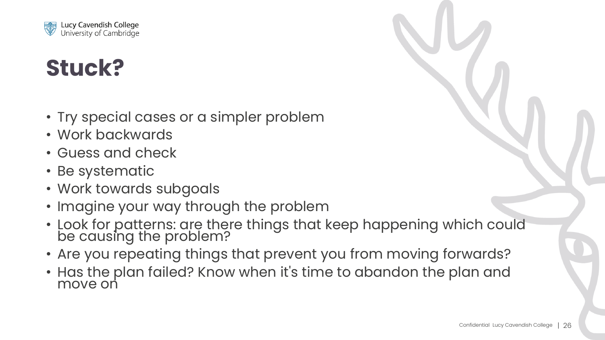

### **Stuck?**

- Try special cases or a simpler problem
- Work backwards
- Guess and check
- Be systematic
- Work towards subgoals
- Imagine your way through the problem
- Look for patterns: are there things that keep happening which could be causing the problem?
- Are you repeating things that prevent you from moving forwards?
- Has the plan failed? Know when it's time to abandon the plan and move on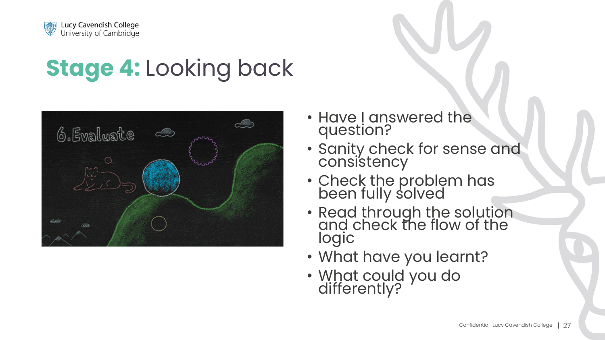

# **Stage 4:** Looking back



- Have I answered the question?
- Sanity check for sense and consistency
- Check the problem has been fully solved
- Read through the solution and check the flow of the logic
- What have you learnt?
- What could you do differently?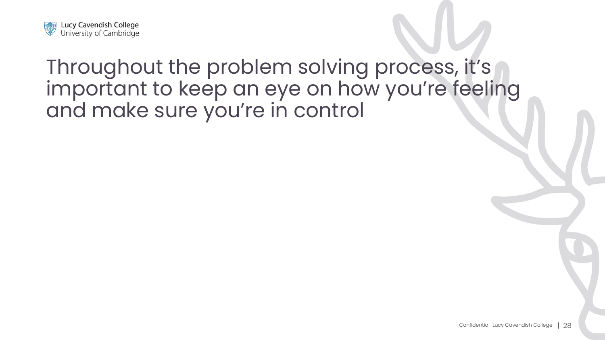

#### Throughout the problem solving process, it's important to keep an eye on how you're feeling and make sure you're in control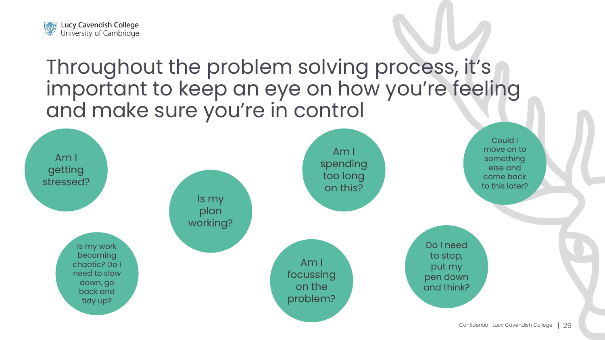

#### Throughout the problem solving process, it's important to keep an eye on how you're feeling and make sure you're in control

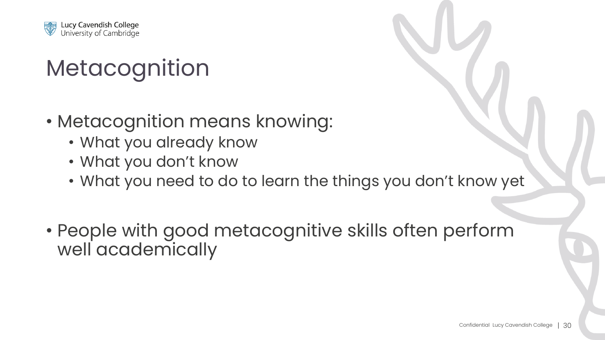

# **Metacognition**

- Metacognition means knowing:
	- What you already know
	- What you don't know
	- What you need to do to learn the things you don't know yet
- People with good metacognitive skills often perform well academically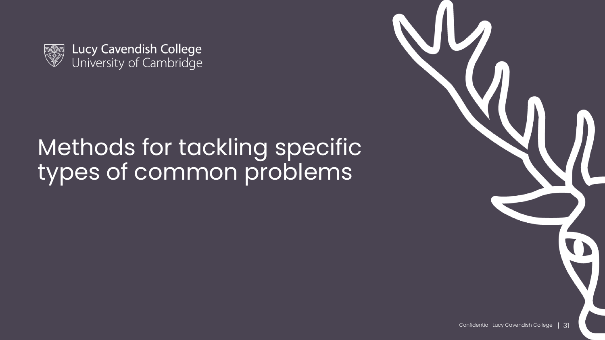

Lucy Cavendish College<br>University of Cambridge

# Methods for tackling specific types of common problems

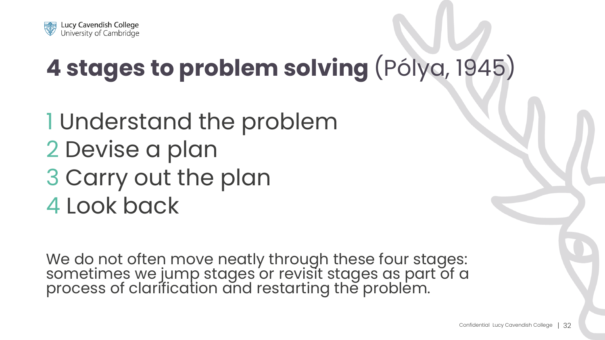

# **4 stages to problem solving** (Pólya, 1945)

# 1 Understand the problem 2 Devise a plan 3 Carry out the plan 4 Look back

We do not often move neatly through these four stages: sometimes we jump stages or revisit stages as part of a process of clarification and restarting the problem.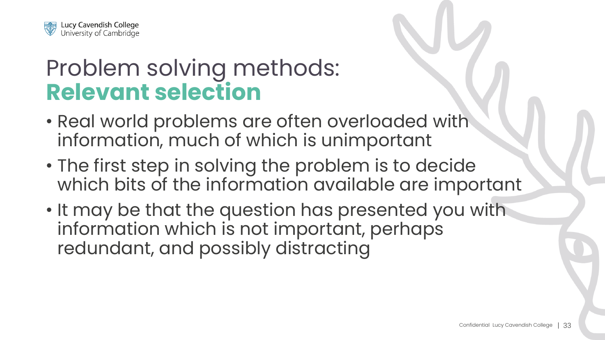

#### Problem solving methods: **Relevant selection**

- Real world problems are often overloaded with information, much of which is unimportant
- The first step in solving the problem is to decide which bits of the information available are important
- It may be that the question has presented you with information which is not important, perhaps redundant, and possibly distracting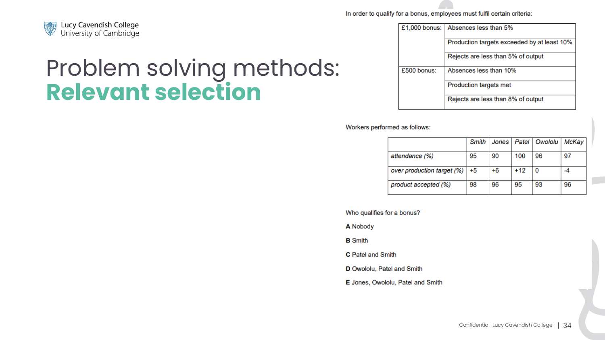

#### Problem solving methods: **Relevant selection**

In order to qualify for a bonus, employees must fulfil certain criteria:

£1,000 bonus: Absences less than 5% Production targets exceeded by at least 10% Rejects are less than 5% of output £500 bonus: Absences less than 10% Production targets met Rejects are less than 8% of output

Workers performed as follows:

|                            | Smith |    |       | Jones   Patel   Owololu | McKay |
|----------------------------|-------|----|-------|-------------------------|-------|
| attendance (%)             | 95    | 90 | 100   | 96                      | 97    |
| over production target (%) | $+5$  | +6 | $+12$ | 0                       | -4    |
| product accepted (%)       | 98    | 96 | 95    | 93                      | 96    |

Who qualifies for a bonus?

**A Nobody** 

**B** Smith

C Patel and Smith

D Owololu, Patel and Smith

E Jones, Owololu, Patel and Smith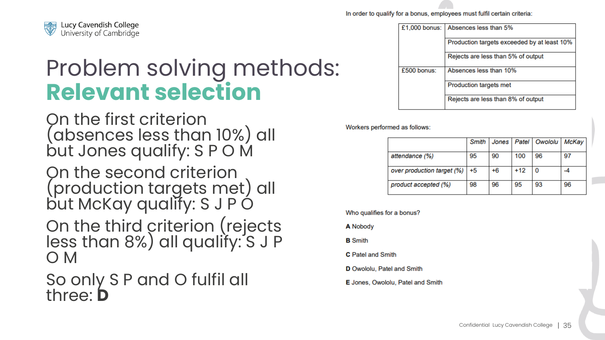

#### Problem solving methods: **Relevant selection**

On the first criterion (absences less than 10%) all but Jones qualify: S P O M

On the second criterion (production targets met) all but McKay qualify: S J P O

On the third criterion (rejects less than 8%) all qualify: S J P O M

So only S P and O fulfil all three: **D**

In order to qualify for a bonus, employees must fulfil certain criteria:

| $£1,000$ bonus:<br>Absences less than 5% |                                             |  |
|------------------------------------------|---------------------------------------------|--|
|                                          | Production targets exceeded by at least 10% |  |
|                                          | Rejects are less than 5% of output          |  |
| $£500$ bonus:                            | Absences less than 10%                      |  |
|                                          | Production targets met                      |  |
|                                          | Rejects are less than 8% of output          |  |

Workers performed as follows:

|                            | Smith |    |       | Jones   Patel   Owololu | McKay |
|----------------------------|-------|----|-------|-------------------------|-------|
| attendance (%)             | 95    | 90 | 100   | 96                      | 97    |
| over production target (%) | $+5$  | +6 | $+12$ | 0                       | -4    |
| product accepted (%)       | 98    | 96 | 95    | 93                      | 96    |

Who qualifies for a bonus?

**A Nobody** 

**B** Smith

**C** Patel and Smith

D Owololu, Patel and Smith

**E** Jones, Owololu, Patel and Smith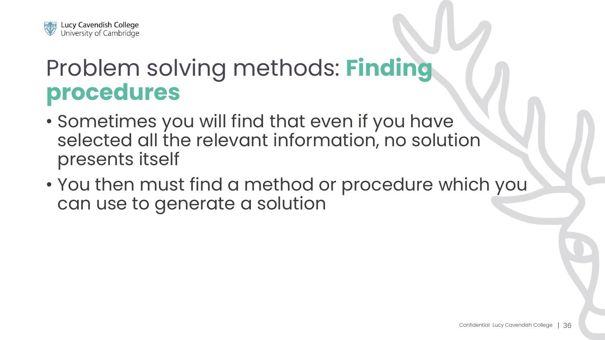

#### Problem solving methods: **Finding procedures**

- Sometimes you will find that even if you have selected all the relevant information, no solution presents itself
- You then must find a method or procedure which you can use to generate a solution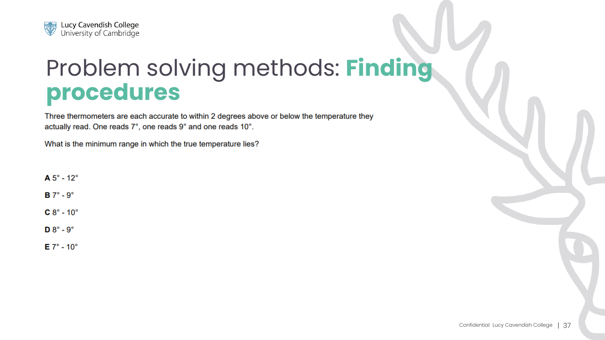

#### Problem solving methods: **Finding procedures**

Three thermometers are each accurate to within 2 degrees above or below the temperature they actually read. One reads 7°, one reads 9° and one reads 10°.

What is the minimum range in which the true temperature lies?

 $A 5^\circ - 12^\circ$ 

 $B 7^\circ - 9^\circ$ 

 $C 8^\circ - 10^\circ$ 

 $D 8^\circ - 9^\circ$ 

 $E 7^\circ - 10^\circ$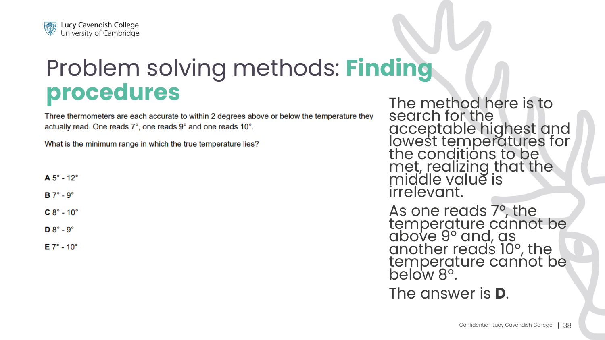

# Problem solving methods: **Finding procedures**<br>The method here is to<br>Three thermometers are each accurate to within 2 degrees above or below the temperature they<br>Sedich for the

actually read. One reads 7°, one reads 9° and one reads 10°.

What is the minimum range in which the true temperature lies?

| Α<br>ı |  |  |
|--------|--|--|
|--------|--|--|

 $B \ 7^\circ - 9^\circ$ 

 $C 8^\circ - 10^\circ$ 

 $D 8^\circ - 9^\circ$ 

 $E 7^\circ - 10^\circ$ 

search for the acceptable highest and lowest temperatures for the conditions to be met, realizing that the middle value is irrelevant.

As one reads 7°, the temperature cannot be above 9° and, as another reads 10°, the temperature cannot be below 8°.

The answer is **D**.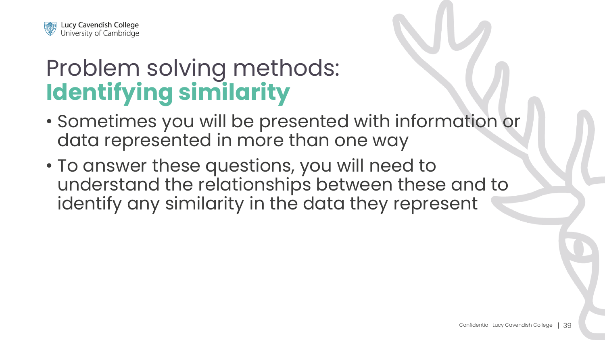

#### Problem solving methods: **Identifying similarity**

- Sometimes you will be presented with information or data represented in more than one way
- To answer these questions, you will need to understand the relationships between these and to identify any similarity in the data they represent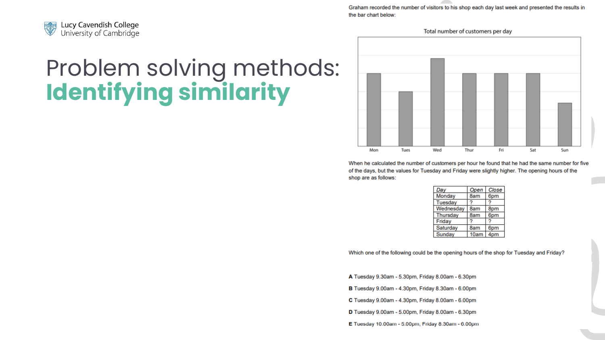

### Problem solving methods: **Identifying similarity**

Graham recorded the number of visitors to his shop each day last week and presented the results in the bar chart below:

Total number of customers per day



When he calculated the number of customers per hour he found that he had the same number for five of the days, but the values for Tuesday and Friday were slightly higher. The opening hours of the shop are as follows:

| Day       | Open | Close           |
|-----------|------|-----------------|
| Monday    | 8am  | 6pm             |
| Tuesday   |      |                 |
| Wednesday | 8am  | 8pm             |
| Thursdav  | 8am  | 6pm             |
| Friday    |      |                 |
| Saturday  | 8am  | 6pm             |
| Sunday    | 10am | 4 <sub>pm</sub> |

Which one of the following could be the opening hours of the shop for Tuesday and Friday?

- A Tuesday 9.30am 5.30pm, Friday 8.00am 6.30pm
- B Tuesday 9.00am 4.30pm, Friday 8.30am 6.00pm
- C Tuesday 9.00am 4.30pm, Friday 8.00am 6.00pm
- D Tuesday 9.00am 5.00pm, Friday 8.00am 6.30pm
- $E$  Tuesday 10.00am 5.00pm, Friday 8.30am 6.00pm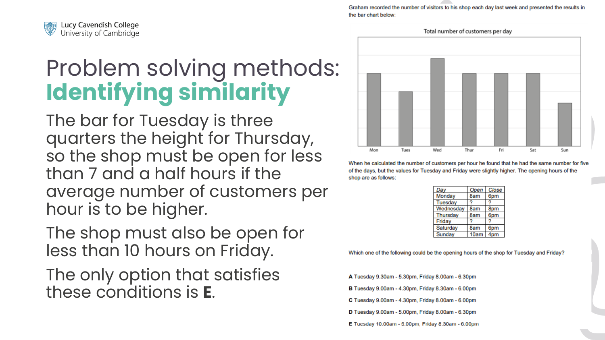

Problem solving methods: **Identifying similarity**

The bar for Tuesday is three quarters the height for Thursday, so the shop must be open for less than 7 and a half hours if the average number of customers per hour is to be higher.

The shop must also be open for less than 10 hours on Friday.

The only option that satisfies these conditions is **E** .

Graham recorded the number of visitors to his shop each day last week and presented the results in the bar chart below:



When he calculated the number of customers per hour he found that he had the same number for five of the days, but the values for Tuesday and Friday were slightly higher. The opening hours of the shop are as follows:

| Day       | Open | Close |
|-----------|------|-------|
| Monday    | 8am  | 6pm   |
| Tuesday   |      |       |
| Wednesday | 8am  | 8pm   |
| Thursday  | 8am  | 6pm   |
| Friday    |      |       |
| Saturday  | 8am  | 6pm   |
| Sunday    | 10am | 4pm   |

Which one of the following could be the opening hours of the shop for Tuesday and Friday?

A Tuesday 9.30am - 5.30pm, Friday 8.00am - 6.30pm

B Tuesday 9.00am - 4.30pm, Friday 8.30am - 6.00pm

C Tuesday 9.00am - 4.30pm, Friday 8.00am - 6.00pm

D Tuesday 9.00am - 5.00pm, Friday 8.00am - 6.30pm

Confidential Lucy Cavendish College in the college  $\sim$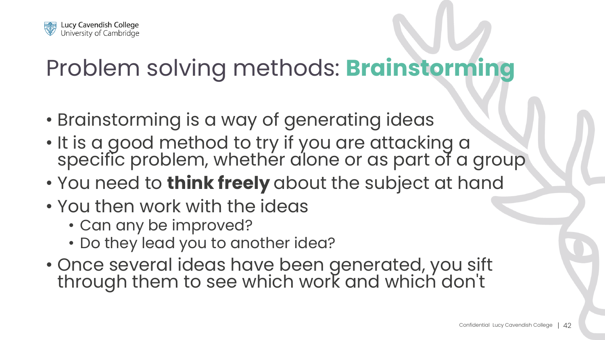

## Problem solving methods: **Brainstorming**

- Brainstorming is a way of generating ideas
- It is a good method to try if you are attacking a specific problem, whether alone or as part of a group
- You need to **think freely** about the subject at hand
- You then work with the ideas
	- Can any be improved?
	- Do they lead you to another idea?
- Once several ideas have been generated, you sift through them to see which work and which don't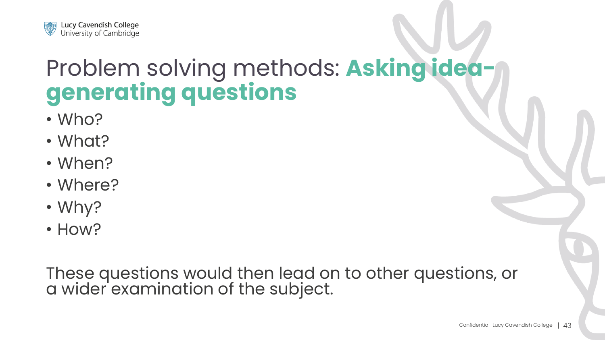

#### Problem solving methods: **Asking ideagenerating questions**

- Who?
- What?
- When?
- Where?
- Why?
- How?

These questions would then lead on to other questions, or a wider examination of the subject.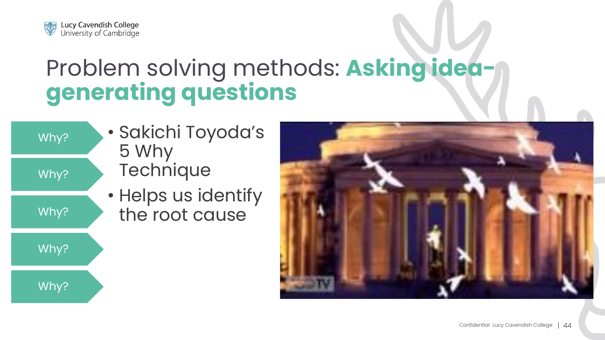

#### Problem solving methods: **Asking ideagenerating questions**

| Why? | • Sakichi Toyodc<br>5 Why           |
|------|-------------------------------------|
| Why? | Technique                           |
| Why? | • Helps us identi<br>the root cause |
| Why? |                                     |
| Why? |                                     |

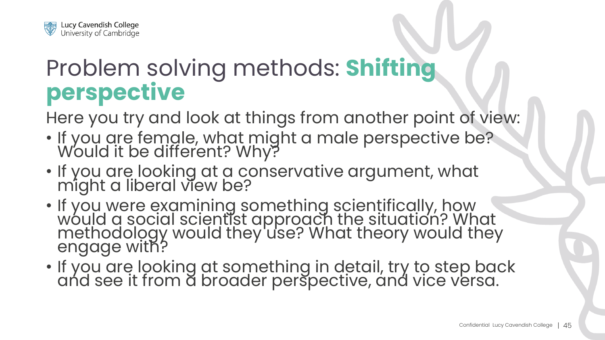

#### Problem solving methods: **Shifting perspective**

Here you try and look at things from another point of view:

- If you are female, what might a male perspective be? Would it be different? Why?
- If you are looking at a conservative argument, what might a liberal view be?
- If you were examining something scientifically, how would a social scientist approach the situation? What methodology would they'use? What theory would they engage with?
- If you are looking at something in detail, try to step back and see it from a broader perspective, and vice versa.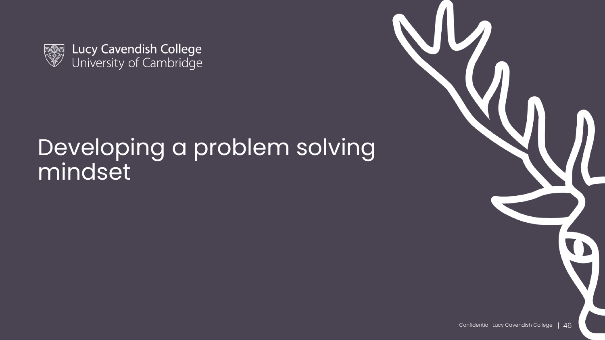

Lucy Cavendish College<br>University of Cambridge

#### Developing a problem solving mindset

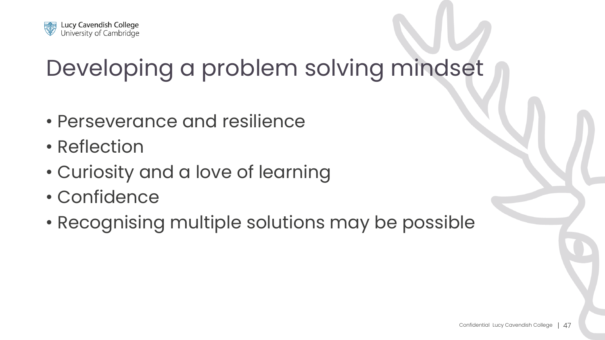

# Developing a problem solving mindset

- Perseverance and resilience
- Reflection
- Curiosity and a love of learning
- Confidence
- Recognising multiple solutions may be possible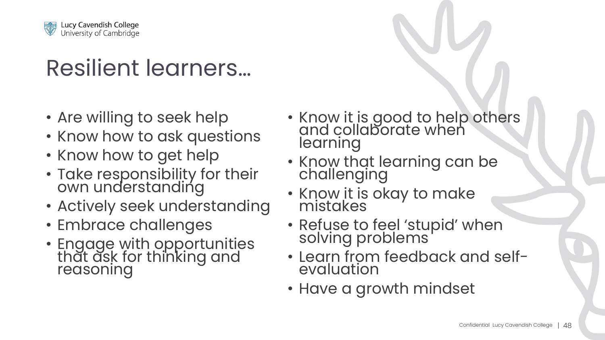

## Resilient learners…

- Are willing to seek help
- Know how to ask questions
- Know how to get help
- Take responsibility for their own understanding
- Actively seek understanding
- Embrace challenges
- Engage with opportunities thăt ăsk for thinking and reasoning
- Know it is good to help others and collaborate when learning
- Know that learning can be challenging
- Know it is okay to make mistakes
- Refuse to feel 'stupid' when solving problems
- Learn from feedback and selfevaluation
- Have a growth mindset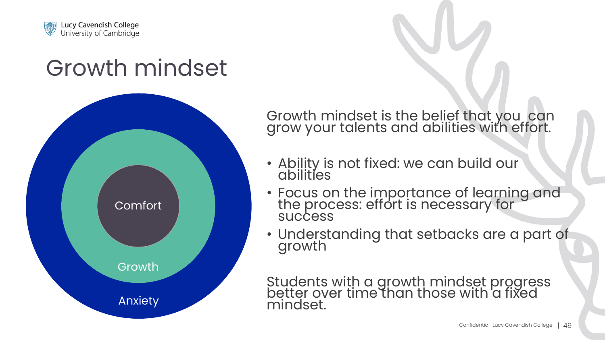

#### Growth mindset



Growth mindset is the belief that you can grow your talents and abilities with effort.

- Ability is not fixed: we can build our abilities
- Focus on the importance of learning and the process: effort is necessary for **success**
- Understanding that setbacks are a part of growth

Students with a growth mindset progress better over time than those with a fixed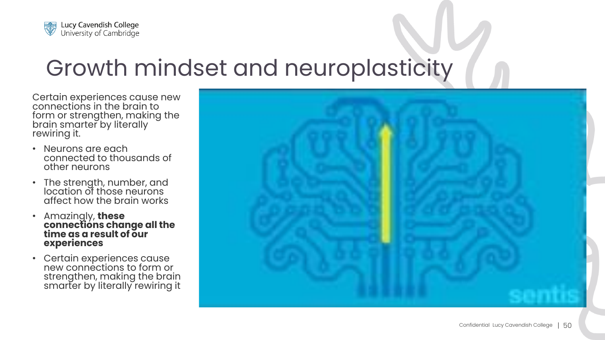

## Growth mindset and neuroplasticity

Certain experiences cause new connections in the brain to form or strengthen, making the brain smarter by literally rewiring it.

- Neurons are each connected to thousands of other neurons
- The strength, number, and location of those neurons affect how the brain works
- Amazingly, **these connections change all the time as a result of our experiences**
- Certain experiences cause new connections to form or strengthen, making the brain smarter by literally rewiring it

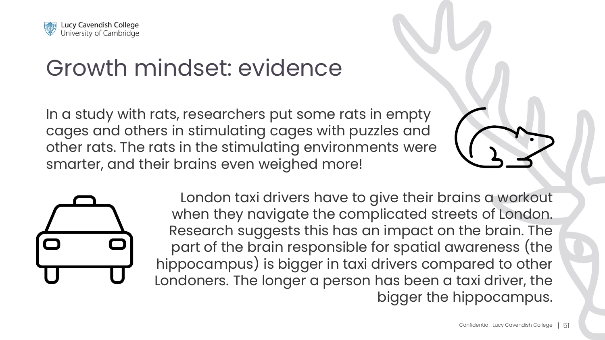

## Growth mindset: evidence

In a study with rats, researchers put some rats in empty cages and others in stimulating cages with puzzles and other rats. The rats in the stimulating environments were smarter, and their brains even weighed more!





London taxi drivers have to give their brains a workout when they navigate the complicated streets of London. Research suggests this has an impact on the brain. The part of the brain responsible for spatial awareness (the hippocampus) is bigger in taxi drivers compared to other Londoners. The longer a person has been a taxi driver, the bigger the hippocampus.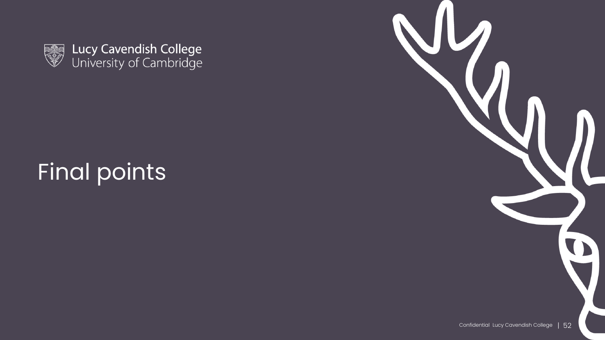

Lucy Cavendish College<br>University of Cambridge

## Final points

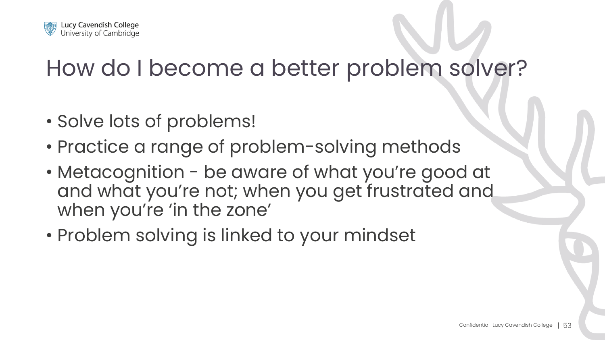

#### How do I become a better problem solver?

- Solve lots of problems!
- Practice a range of problem-solving methods
- Metacognition be aware of what you're good at and what you're not; when you get frustrated and when you're 'in the zone'
- Problem solving is linked to your mindset